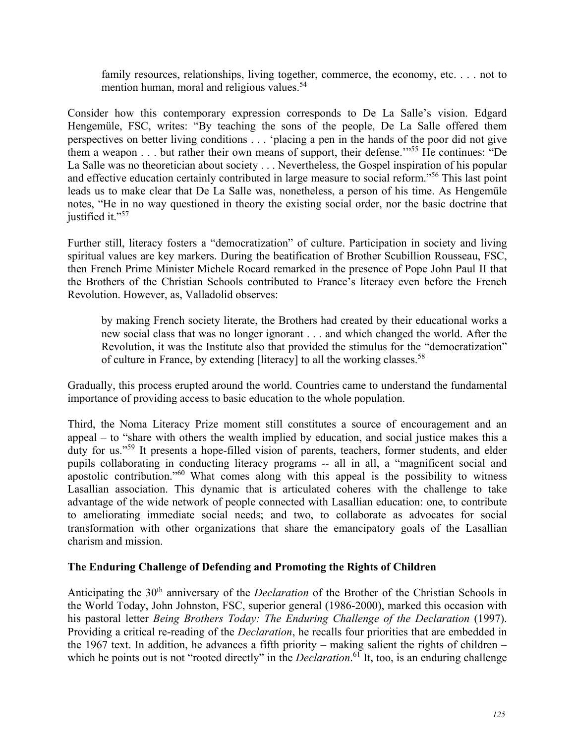family resources, relationships, living together, commerce, the economy, etc. . . . not to mention human, moral and religious values.<sup>54</sup>

Consider how this contemporary expression corresponds to De La Salle's vision. Edgard Hengemüle, FSC, writes: "By teaching the sons of the people, De La Salle offered them perspectives on better living conditions . . . 'placing a pen in the hands of the poor did not give them a weapon . . . but rather their own means of support, their defense.'"55 He continues: "De La Salle was no theoretician about society . . . Nevertheless, the Gospel inspiration of his popular and effective education certainly contributed in large measure to social reform."56 This last point leads us to make clear that De La Salle was, nonetheless, a person of his time. As Hengemüle notes, "He in no way questioned in theory the existing social order, nor the basic doctrine that justified it."<sup>57</sup>

Further still, literacy fosters a "democratization" of culture. Participation in society and living spiritual values are key markers. During the beatification of Brother Scubillion Rousseau, FSC, then French Prime Minister Michele Rocard remarked in the presence of Pope John Paul II that the Brothers of the Christian Schools contributed to France's literacy even before the French Revolution. However, as, Valladolid observes:

by making French society literate, the Brothers had created by their educational works a new social class that was no longer ignorant . . . and which changed the world. After the Revolution, it was the Institute also that provided the stimulus for the "democratization" of culture in France, by extending [literacy] to all the working classes.<sup>58</sup>

Gradually, this process erupted around the world. Countries came to understand the fundamental importance of providing access to basic education to the whole population.

Third, the Noma Literacy Prize moment still constitutes a source of encouragement and an appeal – to "share with others the wealth implied by education, and social justice makes this a duty for us."<sup>59</sup> It presents a hope-filled vision of parents, teachers, former students, and elder pupils collaborating in conducting literacy programs -- all in all, a "magnificent social and apostolic contribution."60 What comes along with this appeal is the possibility to witness Lasallian association. This dynamic that is articulated coheres with the challenge to take advantage of the wide network of people connected with Lasallian education: one, to contribute to ameliorating immediate social needs; and two, to collaborate as advocates for social transformation with other organizations that share the emancipatory goals of the Lasallian charism and mission.

## **The Enduring Challenge of Defending and Promoting the Rights of Children**

Anticipating the 30<sup>th</sup> anniversary of the *Declaration* of the Brother of the Christian Schools in the World Today, John Johnston, FSC, superior general (1986-2000), marked this occasion with his pastoral letter *Being Brothers Today: The Enduring Challenge of the Declaration* (1997). Providing a critical re-reading of the *Declaration*, he recalls four priorities that are embedded in the 1967 text. In addition, he advances a fifth priority – making salient the rights of children – which he points out is not "rooted directly" in the *Declaration*.<sup>61</sup> It, too, is an enduring challenge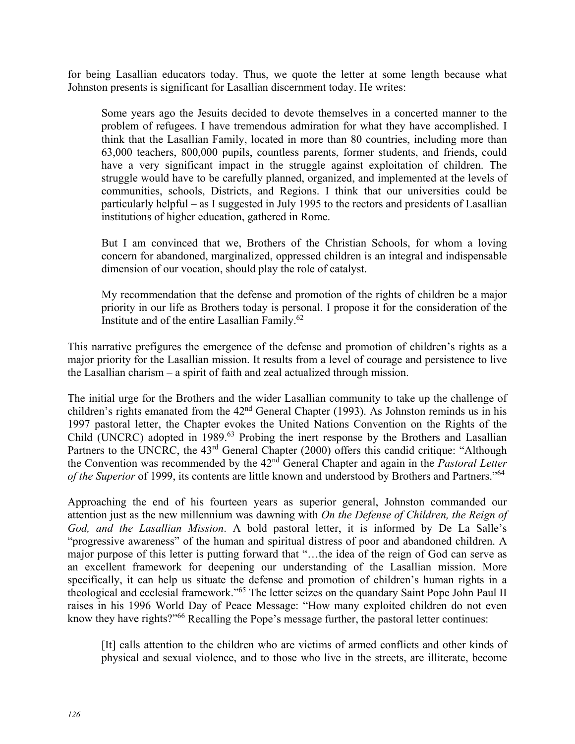for being Lasallian educators today. Thus, we quote the letter at some length because what Johnston presents is significant for Lasallian discernment today. He writes:

Some years ago the Jesuits decided to devote themselves in a concerted manner to the problem of refugees. I have tremendous admiration for what they have accomplished. I think that the Lasallian Family, located in more than 80 countries, including more than 63,000 teachers, 800,000 pupils, countless parents, former students, and friends, could have a very significant impact in the struggle against exploitation of children. The struggle would have to be carefully planned, organized, and implemented at the levels of communities, schools, Districts, and Regions. I think that our universities could be particularly helpful – as I suggested in July 1995 to the rectors and presidents of Lasallian institutions of higher education, gathered in Rome.

But I am convinced that we, Brothers of the Christian Schools, for whom a loving concern for abandoned, marginalized, oppressed children is an integral and indispensable dimension of our vocation, should play the role of catalyst.

My recommendation that the defense and promotion of the rights of children be a major priority in our life as Brothers today is personal. I propose it for the consideration of the Institute and of the entire Lasallian Family.62

This narrative prefigures the emergence of the defense and promotion of children's rights as a major priority for the Lasallian mission. It results from a level of courage and persistence to live the Lasallian charism – a spirit of faith and zeal actualized through mission.

The initial urge for the Brothers and the wider Lasallian community to take up the challenge of children's rights emanated from the  $42<sup>nd</sup>$  General Chapter (1993). As Johnston reminds us in his 1997 pastoral letter, the Chapter evokes the United Nations Convention on the Rights of the Child (UNCRC) adopted in 1989.<sup>63</sup> Probing the inert response by the Brothers and Lasallian Partners to the UNCRC, the 43<sup>rd</sup> General Chapter (2000) offers this candid critique: "Although the Convention was recommended by the 42nd General Chapter and again in the *Pastoral Letter of the Superior* of 1999, its contents are little known and understood by Brothers and Partners."64

Approaching the end of his fourteen years as superior general, Johnston commanded our attention just as the new millennium was dawning with *On the Defense of Children, the Reign of God, and the Lasallian Mission*. A bold pastoral letter, it is informed by De La Salle's "progressive awareness" of the human and spiritual distress of poor and abandoned children. A major purpose of this letter is putting forward that "…the idea of the reign of God can serve as an excellent framework for deepening our understanding of the Lasallian mission. More specifically, it can help us situate the defense and promotion of children's human rights in a theological and ecclesial framework."65 The letter seizes on the quandary Saint Pope John Paul II raises in his 1996 World Day of Peace Message: "How many exploited children do not even know they have rights?"<sup>66</sup> Recalling the Pope's message further, the pastoral letter continues:

[It] calls attention to the children who are victims of armed conflicts and other kinds of physical and sexual violence, and to those who live in the streets, are illiterate, become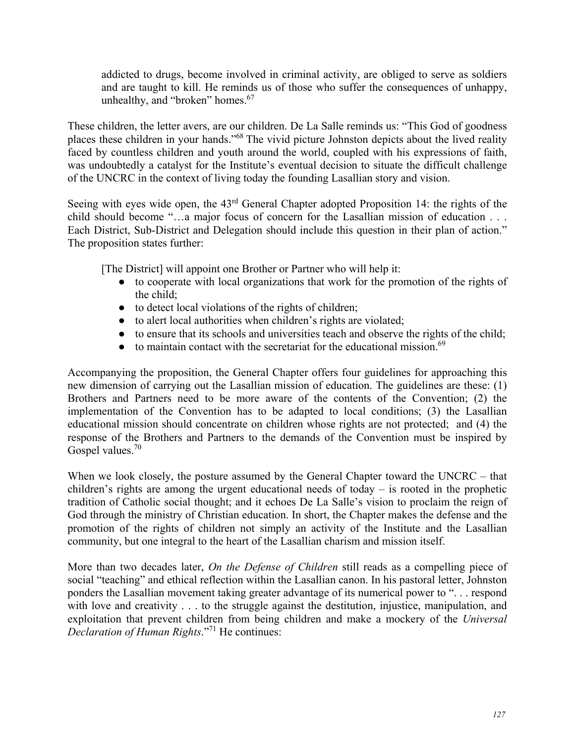addicted to drugs, become involved in criminal activity, are obliged to serve as soldiers and are taught to kill. He reminds us of those who suffer the consequences of unhappy, unhealthy, and "broken" homes.<sup>67</sup>

These children, the letter avers, are our children. De La Salle reminds us: "This God of goodness places these children in your hands."68 The vivid picture Johnston depicts about the lived reality faced by countless children and youth around the world, coupled with his expressions of faith, was undoubtedly a catalyst for the Institute's eventual decision to situate the difficult challenge of the UNCRC in the context of living today the founding Lasallian story and vision.

Seeing with eyes wide open, the 43<sup>rd</sup> General Chapter adopted Proposition 14: the rights of the child should become "…a major focus of concern for the Lasallian mission of education . . . Each District, Sub-District and Delegation should include this question in their plan of action." The proposition states further:

[The District] will appoint one Brother or Partner who will help it:

- to cooperate with local organizations that work for the promotion of the rights of the child;
- to detect local violations of the rights of children;
- to alert local authorities when children's rights are violated;
- to ensure that its schools and universities teach and observe the rights of the child;
- $\bullet$  to maintain contact with the secretariat for the educational mission.<sup>69</sup>

Accompanying the proposition, the General Chapter offers four guidelines for approaching this new dimension of carrying out the Lasallian mission of education. The guidelines are these: (1) Brothers and Partners need to be more aware of the contents of the Convention; (2) the implementation of the Convention has to be adapted to local conditions; (3) the Lasallian educational mission should concentrate on children whose rights are not protected; and (4) the response of the Brothers and Partners to the demands of the Convention must be inspired by Gospel values.<sup>70</sup>

When we look closely, the posture assumed by the General Chapter toward the UNCRC – that children's rights are among the urgent educational needs of today – is rooted in the prophetic tradition of Catholic social thought; and it echoes De La Salle's vision to proclaim the reign of God through the ministry of Christian education. In short, the Chapter makes the defense and the promotion of the rights of children not simply an activity of the Institute and the Lasallian community, but one integral to the heart of the Lasallian charism and mission itself.

More than two decades later, *On the Defense of Children* still reads as a compelling piece of social "teaching" and ethical reflection within the Lasallian canon. In his pastoral letter, Johnston ponders the Lasallian movement taking greater advantage of its numerical power to ". . . respond with love and creativity . . . to the struggle against the destitution, injustice, manipulation, and exploitation that prevent children from being children and make a mockery of the *Universal Declaration of Human Rights*."71 He continues: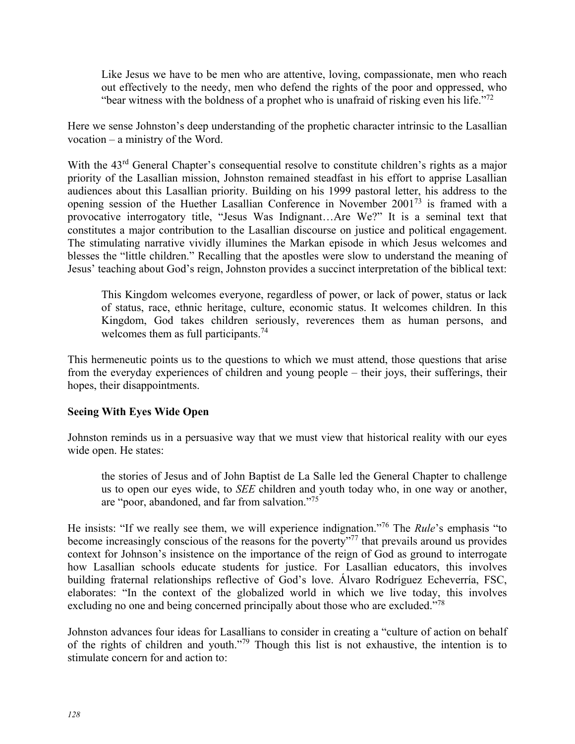Like Jesus we have to be men who are attentive, loving, compassionate, men who reach out effectively to the needy, men who defend the rights of the poor and oppressed, who "bear witness with the boldness of a prophet who is unafraid of risking even his life."<sup>72</sup>

Here we sense Johnston's deep understanding of the prophetic character intrinsic to the Lasallian vocation – a ministry of the Word.

With the 43<sup>rd</sup> General Chapter's consequential resolve to constitute children's rights as a major priority of the Lasallian mission, Johnston remained steadfast in his effort to apprise Lasallian audiences about this Lasallian priority. Building on his 1999 pastoral letter, his address to the opening session of the Huether Lasallian Conference in November 200173 is framed with a provocative interrogatory title, "Jesus Was Indignant…Are We?" It is a seminal text that constitutes a major contribution to the Lasallian discourse on justice and political engagement. The stimulating narrative vividly illumines the Markan episode in which Jesus welcomes and blesses the "little children." Recalling that the apostles were slow to understand the meaning of Jesus' teaching about God's reign, Johnston provides a succinct interpretation of the biblical text:

This Kingdom welcomes everyone, regardless of power, or lack of power, status or lack of status, race, ethnic heritage, culture, economic status. It welcomes children. In this Kingdom, God takes children seriously, reverences them as human persons, and welcomes them as full participants.<sup>74</sup>

This hermeneutic points us to the questions to which we must attend, those questions that arise from the everyday experiences of children and young people – their joys, their sufferings, their hopes, their disappointments.

## **Seeing With Eyes Wide Open**

Johnston reminds us in a persuasive way that we must view that historical reality with our eyes wide open. He states:

the stories of Jesus and of John Baptist de La Salle led the General Chapter to challenge us to open our eyes wide, to *SEE* children and youth today who, in one way or another, are "poor, abandoned, and far from salvation."75

He insists: "If we really see them, we will experience indignation."76 The *Rule*'s emphasis "to become increasingly conscious of the reasons for the poverty"<sup>77</sup> that prevails around us provides context for Johnson's insistence on the importance of the reign of God as ground to interrogate how Lasallian schools educate students for justice. For Lasallian educators, this involves building fraternal relationships reflective of God's love. Álvaro Rodríguez Echeverría, FSC, elaborates: "In the context of the globalized world in which we live today, this involves excluding no one and being concerned principally about those who are excluded."<sup>78</sup>

Johnston advances four ideas for Lasallians to consider in creating a "culture of action on behalf of the rights of children and youth."79 Though this list is not exhaustive, the intention is to stimulate concern for and action to: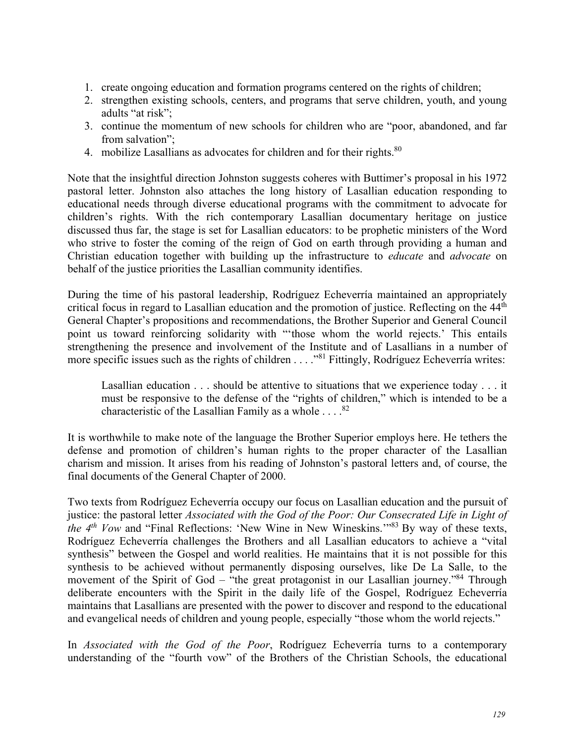- 1. create ongoing education and formation programs centered on the rights of children;
- 2. strengthen existing schools, centers, and programs that serve children, youth, and young adults "at risk";
- 3. continue the momentum of new schools for children who are "poor, abandoned, and far from salvation";
- 4. mobilize Lasallians as advocates for children and for their rights. $80$

Note that the insightful direction Johnston suggests coheres with Buttimer's proposal in his 1972 pastoral letter. Johnston also attaches the long history of Lasallian education responding to educational needs through diverse educational programs with the commitment to advocate for children's rights. With the rich contemporary Lasallian documentary heritage on justice discussed thus far, the stage is set for Lasallian educators: to be prophetic ministers of the Word who strive to foster the coming of the reign of God on earth through providing a human and Christian education together with building up the infrastructure to *educate* and *advocate* on behalf of the justice priorities the Lasallian community identifies.

During the time of his pastoral leadership, Rodríguez Echeverría maintained an appropriately critical focus in regard to Lasallian education and the promotion of justice. Reflecting on the 44<sup>th</sup> General Chapter's propositions and recommendations, the Brother Superior and General Council point us toward reinforcing solidarity with "'those whom the world rejects.' This entails strengthening the presence and involvement of the Institute and of Lasallians in a number of more specific issues such as the rights of children . . . ."81 Fittingly, Rodríguez Echeverría writes:

Lasallian education . . . should be attentive to situations that we experience today . . . it must be responsive to the defense of the "rights of children," which is intended to be a characteristic of the Lasallian Family as a whole  $\dots$ .<sup>82</sup>

It is worthwhile to make note of the language the Brother Superior employs here. He tethers the defense and promotion of children's human rights to the proper character of the Lasallian charism and mission. It arises from his reading of Johnston's pastoral letters and, of course, the final documents of the General Chapter of 2000.

Two texts from Rodríguez Echeverría occupy our focus on Lasallian education and the pursuit of justice: the pastoral letter *Associated with the God of the Poor: Our Consecrated Life in Light of the 4<sup>th</sup> Vow* and "Final Reflections: 'New Wine in New Wineskins.'"<sup>83</sup> By way of these texts, Rodríguez Echeverría challenges the Brothers and all Lasallian educators to achieve a "vital synthesis" between the Gospel and world realities. He maintains that it is not possible for this synthesis to be achieved without permanently disposing ourselves, like De La Salle, to the movement of the Spirit of God – "the great protagonist in our Lasallian journey."<sup>84</sup> Through deliberate encounters with the Spirit in the daily life of the Gospel, Rodríguez Echeverría maintains that Lasallians are presented with the power to discover and respond to the educational and evangelical needs of children and young people, especially "those whom the world rejects."

In *Associated with the God of the Poor*, Rodríguez Echeverría turns to a contemporary understanding of the "fourth vow" of the Brothers of the Christian Schools, the educational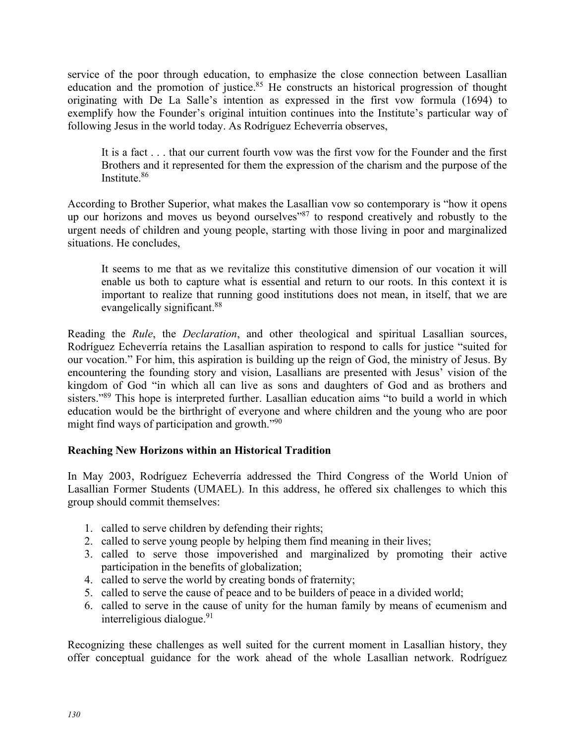service of the poor through education, to emphasize the close connection between Lasallian education and the promotion of justice.<sup>85</sup> He constructs an historical progression of thought originating with De La Salle's intention as expressed in the first vow formula (1694) to exemplify how the Founder's original intuition continues into the Institute's particular way of following Jesus in the world today. As Rodríguez Echeverría observes,

It is a fact . . . that our current fourth vow was the first vow for the Founder and the first Brothers and it represented for them the expression of the charism and the purpose of the Institute.86

According to Brother Superior, what makes the Lasallian vow so contemporary is "how it opens up our horizons and moves us beyond ourselves"87 to respond creatively and robustly to the urgent needs of children and young people, starting with those living in poor and marginalized situations. He concludes,

It seems to me that as we revitalize this constitutive dimension of our vocation it will enable us both to capture what is essential and return to our roots. In this context it is important to realize that running good institutions does not mean, in itself, that we are evangelically significant.<sup>88</sup>

Reading the *Rule*, the *Declaration*, and other theological and spiritual Lasallian sources, Rodríguez Echeverría retains the Lasallian aspiration to respond to calls for justice "suited for our vocation." For him, this aspiration is building up the reign of God, the ministry of Jesus. By encountering the founding story and vision, Lasallians are presented with Jesus' vision of the kingdom of God "in which all can live as sons and daughters of God and as brothers and sisters."<sup>89</sup> This hope is interpreted further. Lasallian education aims "to build a world in which education would be the birthright of everyone and where children and the young who are poor might find ways of participation and growth."<sup>90</sup>

# **Reaching New Horizons within an Historical Tradition**

In May 2003, Rodríguez Echeverría addressed the Third Congress of the World Union of Lasallian Former Students (UMAEL). In this address, he offered six challenges to which this group should commit themselves:

- 1. called to serve children by defending their rights;
- 2. called to serve young people by helping them find meaning in their lives;
- 3. called to serve those impoverished and marginalized by promoting their active participation in the benefits of globalization;
- 4. called to serve the world by creating bonds of fraternity;
- 5. called to serve the cause of peace and to be builders of peace in a divided world;
- 6. called to serve in the cause of unity for the human family by means of ecumenism and interreligious dialogue. $91$

Recognizing these challenges as well suited for the current moment in Lasallian history, they offer conceptual guidance for the work ahead of the whole Lasallian network. Rodríguez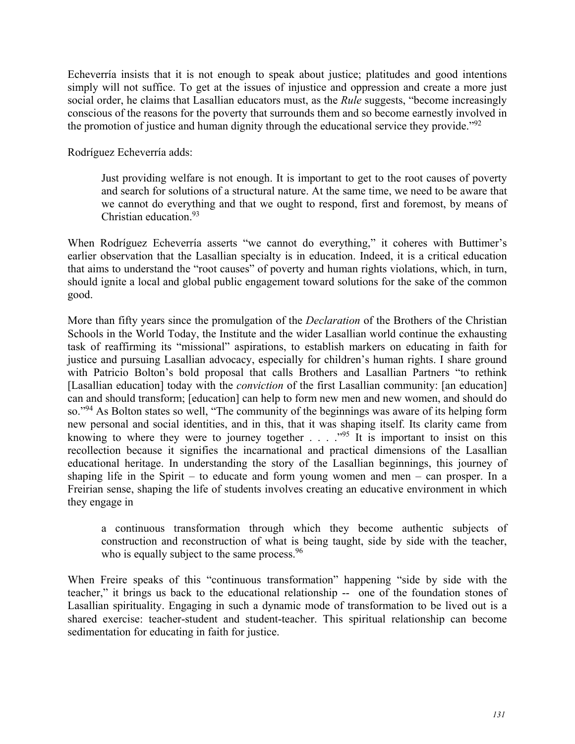Echeverría insists that it is not enough to speak about justice; platitudes and good intentions simply will not suffice. To get at the issues of injustice and oppression and create a more just social order, he claims that Lasallian educators must, as the *Rule* suggests, "become increasingly conscious of the reasons for the poverty that surrounds them and so become earnestly involved in the promotion of justice and human dignity through the educational service they provide.<sup> $.92$ </sup>

Rodríguez Echeverría adds:

Just providing welfare is not enough. It is important to get to the root causes of poverty and search for solutions of a structural nature. At the same time, we need to be aware that we cannot do everything and that we ought to respond, first and foremost, by means of Christian education.93

When Rodríguez Echeverría asserts "we cannot do everything," it coheres with Buttimer's earlier observation that the Lasallian specialty is in education. Indeed, it is a critical education that aims to understand the "root causes" of poverty and human rights violations, which, in turn, should ignite a local and global public engagement toward solutions for the sake of the common good.

More than fifty years since the promulgation of the *Declaration* of the Brothers of the Christian Schools in the World Today, the Institute and the wider Lasallian world continue the exhausting task of reaffirming its "missional" aspirations, to establish markers on educating in faith for justice and pursuing Lasallian advocacy, especially for children's human rights. I share ground with Patricio Bolton's bold proposal that calls Brothers and Lasallian Partners "to rethink [Lasallian education] today with the *conviction* of the first Lasallian community: [an education] can and should transform; [education] can help to form new men and new women, and should do so."<sup>94</sup> As Bolton states so well, "The community of the beginnings was aware of its helping form new personal and social identities, and in this, that it was shaping itself. Its clarity came from knowing to where they were to journey together  $\ldots$  ... .<sup>995</sup> It is important to insist on this recollection because it signifies the incarnational and practical dimensions of the Lasallian educational heritage. In understanding the story of the Lasallian beginnings, this journey of shaping life in the Spirit – to educate and form young women and men – can prosper. In a Freirian sense, shaping the life of students involves creating an educative environment in which they engage in

a continuous transformation through which they become authentic subjects of construction and reconstruction of what is being taught, side by side with the teacher, who is equally subject to the same process.  $96$ 

When Freire speaks of this "continuous transformation" happening "side by side with the teacher," it brings us back to the educational relationship -- one of the foundation stones of Lasallian spirituality. Engaging in such a dynamic mode of transformation to be lived out is a shared exercise: teacher-student and student-teacher. This spiritual relationship can become sedimentation for educating in faith for justice.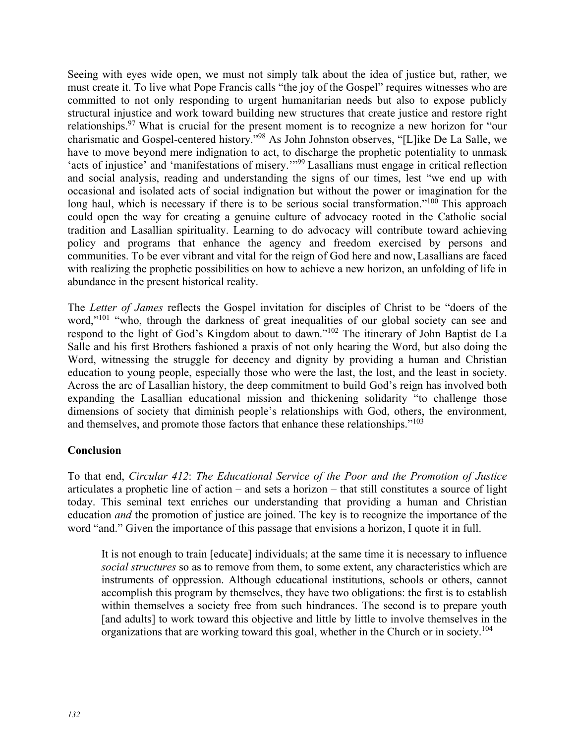Seeing with eyes wide open, we must not simply talk about the idea of justice but, rather, we must create it. To live what Pope Francis calls "the joy of the Gospel" requires witnesses who are committed to not only responding to urgent humanitarian needs but also to expose publicly structural injustice and work toward building new structures that create justice and restore right relationships.<sup>97</sup> What is crucial for the present moment is to recognize a new horizon for "our charismatic and Gospel-centered history."98 As John Johnston observes, "[L]ike De La Salle, we have to move beyond mere indignation to act, to discharge the prophetic potentiality to unmask 'acts of injustice' and 'manifestations of misery.'"99 Lasallians must engage in critical reflection and social analysis, reading and understanding the signs of our times, lest "we end up with occasional and isolated acts of social indignation but without the power or imagination for the long haul, which is necessary if there is to be serious social transformation."<sup>100</sup> This approach could open the way for creating a genuine culture of advocacy rooted in the Catholic social tradition and Lasallian spirituality. Learning to do advocacy will contribute toward achieving policy and programs that enhance the agency and freedom exercised by persons and communities. To be ever vibrant and vital for the reign of God here and now, Lasallians are faced with realizing the prophetic possibilities on how to achieve a new horizon, an unfolding of life in abundance in the present historical reality.

The *Letter of James* reflects the Gospel invitation for disciples of Christ to be "doers of the word,"<sup>101</sup> "who, through the darkness of great inequalities of our global society can see and respond to the light of God's Kingdom about to dawn."102 The itinerary of John Baptist de La Salle and his first Brothers fashioned a praxis of not only hearing the Word, but also doing the Word, witnessing the struggle for decency and dignity by providing a human and Christian education to young people, especially those who were the last, the lost, and the least in society. Across the arc of Lasallian history, the deep commitment to build God's reign has involved both expanding the Lasallian educational mission and thickening solidarity "to challenge those dimensions of society that diminish people's relationships with God, others, the environment, and themselves, and promote those factors that enhance these relationships."<sup>103</sup>

## **Conclusion**

To that end, *Circular 412*: *The Educational Service of the Poor and the Promotion of Justice*  articulates a prophetic line of action – and sets a horizon – that still constitutes a source of light today. This seminal text enriches our understanding that providing a human and Christian education *and* the promotion of justice are joined. The key is to recognize the importance of the word "and." Given the importance of this passage that envisions a horizon, I quote it in full.

It is not enough to train [educate] individuals; at the same time it is necessary to influence *social structures* so as to remove from them, to some extent, any characteristics which are instruments of oppression. Although educational institutions, schools or others, cannot accomplish this program by themselves, they have two obligations: the first is to establish within themselves a society free from such hindrances. The second is to prepare youth [and adults] to work toward this objective and little by little to involve themselves in the organizations that are working toward this goal, whether in the Church or in society.<sup>104</sup>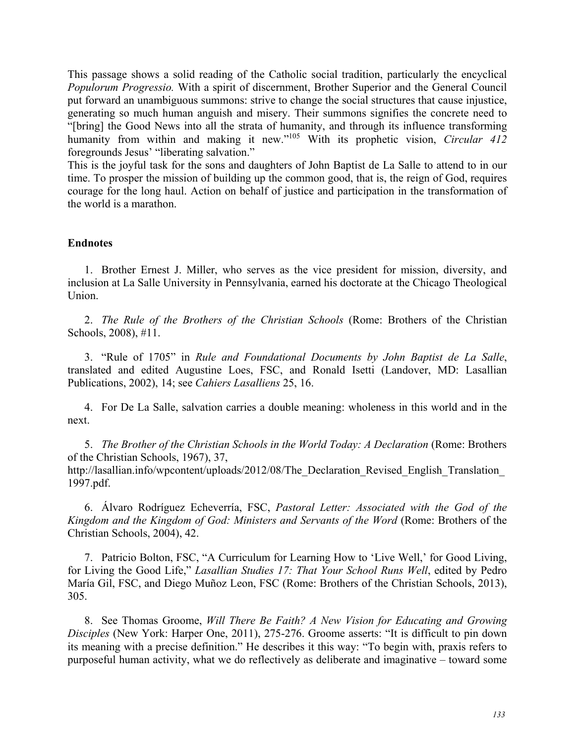This passage shows a solid reading of the Catholic social tradition, particularly the encyclical *Populorum Progressio.* With a spirit of discernment, Brother Superior and the General Council put forward an unambiguous summons: strive to change the social structures that cause injustice, generating so much human anguish and misery. Their summons signifies the concrete need to "[bring] the Good News into all the strata of humanity, and through its influence transforming humanity from within and making it new."<sup>105</sup> With its prophetic vision, *Circular 412* foregrounds Jesus' "liberating salvation."

This is the joyful task for the sons and daughters of John Baptist de La Salle to attend to in our time. To prosper the mission of building up the common good, that is, the reign of God, requires courage for the long haul. Action on behalf of justice and participation in the transformation of the world is a marathon.

#### **Endnotes**

1. Brother Ernest J. Miller, who serves as the vice president for mission, diversity, and inclusion at La Salle University in Pennsylvania, earned his doctorate at the Chicago Theological Union.

2. *The Rule of the Brothers of the Christian Schools* (Rome: Brothers of the Christian Schools, 2008), #11.

3. "Rule of 1705" in *Rule and Foundational Documents by John Baptist de La Salle*, translated and edited Augustine Loes, FSC, and Ronald Isetti (Landover, MD: Lasallian Publications, 2002), 14; see *Cahiers Lasalliens* 25, 16.

4. For De La Salle, salvation carries a double meaning: wholeness in this world and in the next.

5. *The Brother of the Christian Schools in the World Today: A Declaration* (Rome: Brothers of the Christian Schools, 1967), 37, http://lasallian.info/wpcontent/uploads/2012/08/The\_Declaration\_Revised\_English\_Translation\_ 1997.pdf.

6. Álvaro Rodríguez Echeverría, FSC, *Pastoral Letter: Associated with the God of the Kingdom and the Kingdom of God: Ministers and Servants of the Word* (Rome: Brothers of the Christian Schools, 2004), 42.

7. Patricio Bolton, FSC, "A Curriculum for Learning How to 'Live Well,' for Good Living, for Living the Good Life," *Lasallian Studies 17: That Your School Runs Well*, edited by Pedro María Gil, FSC, and Diego Muñoz Leon, FSC (Rome: Brothers of the Christian Schools, 2013), 305.

8. See Thomas Groome, *Will There Be Faith? A New Vision for Educating and Growing Disciples* (New York: Harper One, 2011), 275-276. Groome asserts: "It is difficult to pin down its meaning with a precise definition." He describes it this way: "To begin with, praxis refers to purposeful human activity, what we do reflectively as deliberate and imaginative – toward some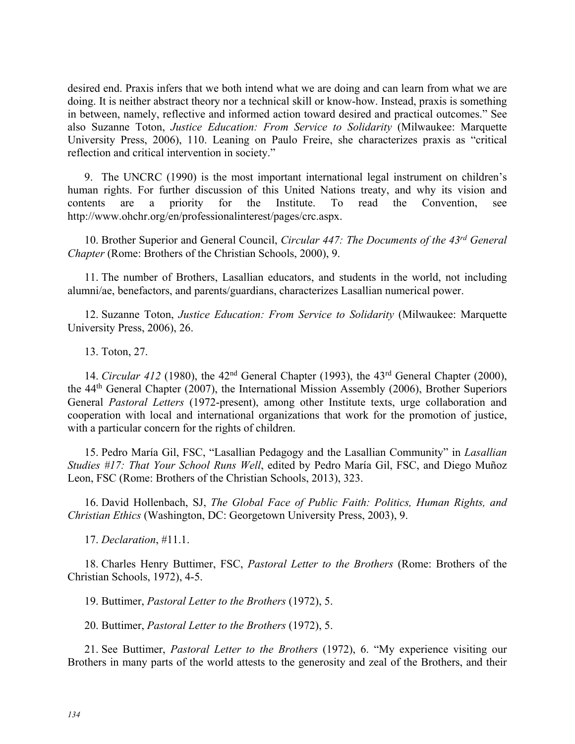desired end. Praxis infers that we both intend what we are doing and can learn from what we are doing. It is neither abstract theory nor a technical skill or know-how. Instead, praxis is something in between, namely, reflective and informed action toward desired and practical outcomes." See also Suzanne Toton, *Justice Education: From Service to Solidarity* (Milwaukee: Marquette University Press, 2006), 110. Leaning on Paulo Freire, she characterizes praxis as "critical reflection and critical intervention in society."

9. The UNCRC (1990) is the most important international legal instrument on children's human rights. For further discussion of this United Nations treaty, and why its vision and contents are a priority for the Institute. To read the Convention, see http://www.ohchr.org/en/professionalinterest/pages/crc.aspx.

10. Brother Superior and General Council, *Circular 447: The Documents of the 43rd General Chapter* (Rome: Brothers of the Christian Schools, 2000), 9.

11. The number of Brothers, Lasallian educators, and students in the world, not including alumni/ae, benefactors, and parents/guardians, characterizes Lasallian numerical power.

12. Suzanne Toton, *Justice Education: From Service to Solidarity* (Milwaukee: Marquette University Press, 2006), 26.

13. Toton, 27.

14. *Circular 412* (1980), the 42nd General Chapter (1993), the 43rd General Chapter (2000), the 44th General Chapter (2007), the International Mission Assembly (2006), Brother Superiors General *Pastoral Letters* (1972-present), among other Institute texts, urge collaboration and cooperation with local and international organizations that work for the promotion of justice, with a particular concern for the rights of children.

15. Pedro María Gil, FSC, "Lasallian Pedagogy and the Lasallian Community" in *Lasallian Studies #17: That Your School Runs Well*, edited by Pedro María Gil, FSC, and Diego Muñoz Leon, FSC (Rome: Brothers of the Christian Schools, 2013), 323.

16. David Hollenbach, SJ, *The Global Face of Public Faith: Politics, Human Rights, and Christian Ethics* (Washington, DC: Georgetown University Press, 2003), 9.

17. *Declaration*, #11.1.

18. Charles Henry Buttimer, FSC, *Pastoral Letter to the Brothers* (Rome: Brothers of the Christian Schools, 1972), 4-5.

19. Buttimer, *Pastoral Letter to the Brothers* (1972), 5.

20. Buttimer, *Pastoral Letter to the Brothers* (1972), 5.

21. See Buttimer, *Pastoral Letter to the Brothers* (1972), 6. "My experience visiting our Brothers in many parts of the world attests to the generosity and zeal of the Brothers, and their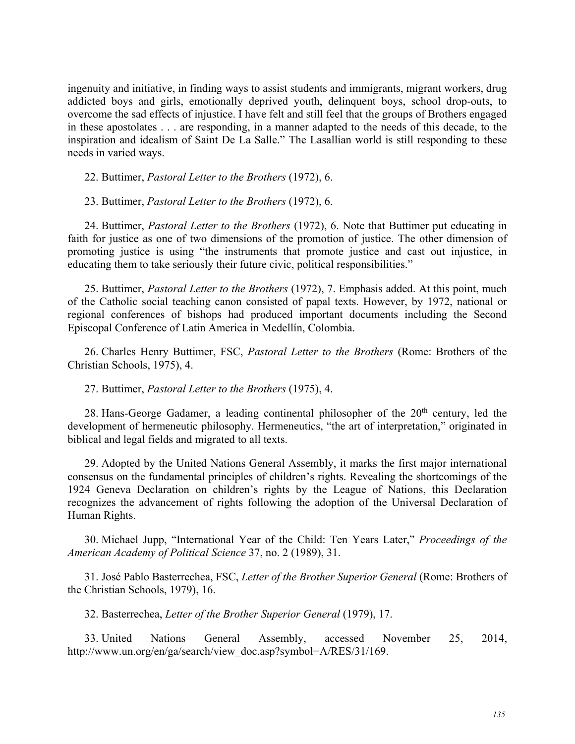ingenuity and initiative, in finding ways to assist students and immigrants, migrant workers, drug addicted boys and girls, emotionally deprived youth, delinquent boys, school drop-outs, to overcome the sad effects of injustice. I have felt and still feel that the groups of Brothers engaged in these apostolates . . . are responding, in a manner adapted to the needs of this decade, to the inspiration and idealism of Saint De La Salle." The Lasallian world is still responding to these needs in varied ways.

22. Buttimer, *Pastoral Letter to the Brothers* (1972), 6.

23. Buttimer, *Pastoral Letter to the Brothers* (1972), 6.

24. Buttimer, *Pastoral Letter to the Brothers* (1972), 6. Note that Buttimer put educating in faith for justice as one of two dimensions of the promotion of justice. The other dimension of promoting justice is using "the instruments that promote justice and cast out injustice, in educating them to take seriously their future civic, political responsibilities."

25. Buttimer, *Pastoral Letter to the Brothers* (1972), 7. Emphasis added. At this point, much of the Catholic social teaching canon consisted of papal texts. However, by 1972, national or regional conferences of bishops had produced important documents including the Second Episcopal Conference of Latin America in Medellín, Colombia.

26. Charles Henry Buttimer, FSC, *Pastoral Letter to the Brothers* (Rome: Brothers of the Christian Schools, 1975), 4.

#### 27. Buttimer, *Pastoral Letter to the Brothers* (1975), 4.

28. Hans-George Gadamer, a leading continental philosopher of the  $20<sup>th</sup>$  century, led the development of hermeneutic philosophy. Hermeneutics, "the art of interpretation," originated in biblical and legal fields and migrated to all texts.

29. Adopted by the United Nations General Assembly, it marks the first major international consensus on the fundamental principles of children's rights. Revealing the shortcomings of the 1924 Geneva Declaration on children's rights by the League of Nations, this Declaration recognizes the advancement of rights following the adoption of the Universal Declaration of Human Rights.

30. Michael Jupp, "International Year of the Child: Ten Years Later," *Proceedings of the American Academy of Political Science* 37, no. 2 (1989), 31.

31. José Pablo Basterrechea, FSC, *Letter of the Brother Superior General* (Rome: Brothers of the Christian Schools, 1979), 16.

32. Basterrechea, *Letter of the Brother Superior General* (1979), 17.

33. United Nations General Assembly, accessed November 25, 2014, http://www.un.org/en/ga/search/view\_doc.asp?symbol=A/RES/31/169.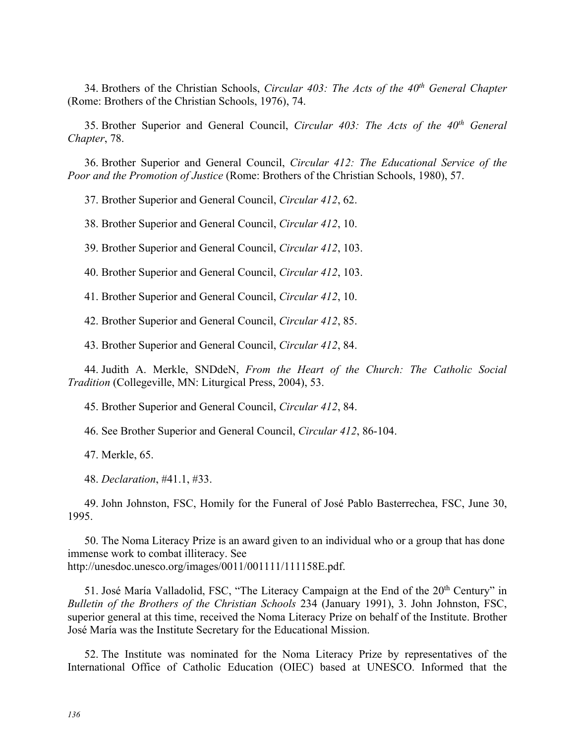34. Brothers of the Christian Schools, *Circular 403: The Acts of the 40th General Chapter* (Rome: Brothers of the Christian Schools, 1976), 74.

35. Brother Superior and General Council, *Circular 403: The Acts of the 40th General Chapter*, 78.

36. Brother Superior and General Council, *Circular 412: The Educational Service of the Poor and the Promotion of Justice* (Rome: Brothers of the Christian Schools, 1980), 57.

37. Brother Superior and General Council, *Circular 412*, 62.

38. Brother Superior and General Council, *Circular 412*, 10.

39. Brother Superior and General Council, *Circular 412*, 103.

40. Brother Superior and General Council, *Circular 412*, 103.

41. Brother Superior and General Council, *Circular 412*, 10.

42. Brother Superior and General Council, *Circular 412*, 85.

43. Brother Superior and General Council, *Circular 412*, 84.

44. Judith A. Merkle, SNDdeN, *From the Heart of the Church: The Catholic Social Tradition* (Collegeville, MN: Liturgical Press, 2004), 53.

45. Brother Superior and General Council, *Circular 412*, 84.

46. See Brother Superior and General Council, *Circular 412*, 86-104.

47. Merkle, 65.

48. *Declaration*, #41.1, #33.

49. John Johnston, FSC, Homily for the Funeral of José Pablo Basterrechea, FSC, June 30, 1995.

50. The Noma Literacy Prize is an award given to an individual who or a group that has done immense work to combat illiteracy. See http://unesdoc.unesco.org/images/0011/001111/111158E.pdf.

51. José María Valladolid, FSC, "The Literacy Campaign at the End of the  $20<sup>th</sup>$  Century" in *Bulletin of the Brothers of the Christian Schools* 234 (January 1991), 3. John Johnston, FSC, superior general at this time, received the Noma Literacy Prize on behalf of the Institute. Brother José María was the Institute Secretary for the Educational Mission.

52. The Institute was nominated for the Noma Literacy Prize by representatives of the International Office of Catholic Education (OIEC) based at UNESCO. Informed that the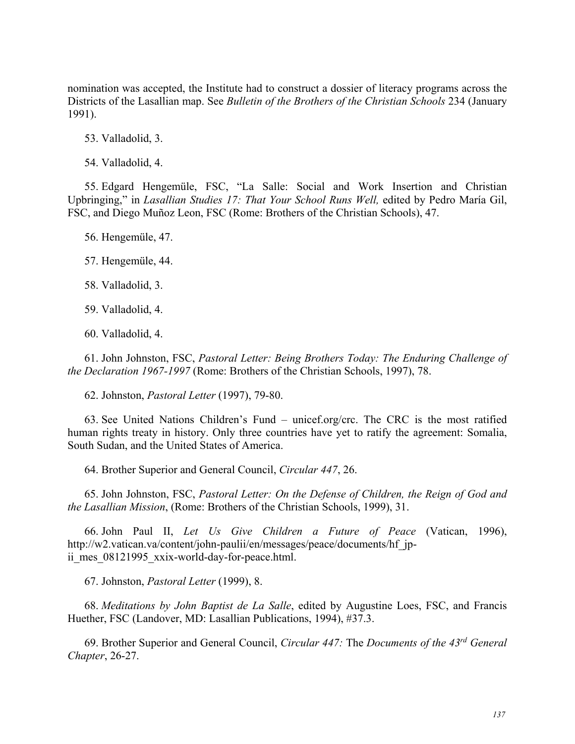nomination was accepted, the Institute had to construct a dossier of literacy programs across the Districts of the Lasallian map. See *Bulletin of the Brothers of the Christian Schools* 234 (January 1991).

53. Valladolid, 3.

54. Valladolid, 4.

55. Edgard Hengemüle, FSC, "La Salle: Social and Work Insertion and Christian Upbringing," in *Lasallian Studies 17: That Your School Runs Well,* edited by Pedro María Gil, FSC, and Diego Muñoz Leon, FSC (Rome: Brothers of the Christian Schools), 47.

56. Hengemüle, 47.

57. Hengemüle, 44.

58. Valladolid, 3.

59. Valladolid, 4.

60. Valladolid, 4.

61. John Johnston, FSC, *Pastoral Letter: Being Brothers Today: The Enduring Challenge of the Declaration 1967-1997* (Rome: Brothers of the Christian Schools, 1997), 78.

62. Johnston, *Pastoral Letter* (1997), 79-80.

63. See United Nations Children's Fund – unicef.org/crc. The CRC is the most ratified human rights treaty in history. Only three countries have yet to ratify the agreement: Somalia, South Sudan, and the United States of America.

64. Brother Superior and General Council, *Circular 447*, 26.

65. John Johnston, FSC, *Pastoral Letter: On the Defense of Children, the Reign of God and the Lasallian Mission*, (Rome: Brothers of the Christian Schools, 1999), 31.

66. John Paul II, *Let Us Give Children a Future of Peace* (Vatican, 1996), http://w2.vatican.va/content/john-paulii/en/messages/peace/documents/hf\_jpii mes 08121995 xxix-world-day-for-peace.html.

67. Johnston, *Pastoral Letter* (1999), 8.

68. *Meditations by John Baptist de La Salle*, edited by Augustine Loes, FSC, and Francis Huether, FSC (Landover, MD: Lasallian Publications, 1994), #37.3.

69. Brother Superior and General Council, *Circular 447:* The *Documents of the 43rd General Chapter*, 26-27.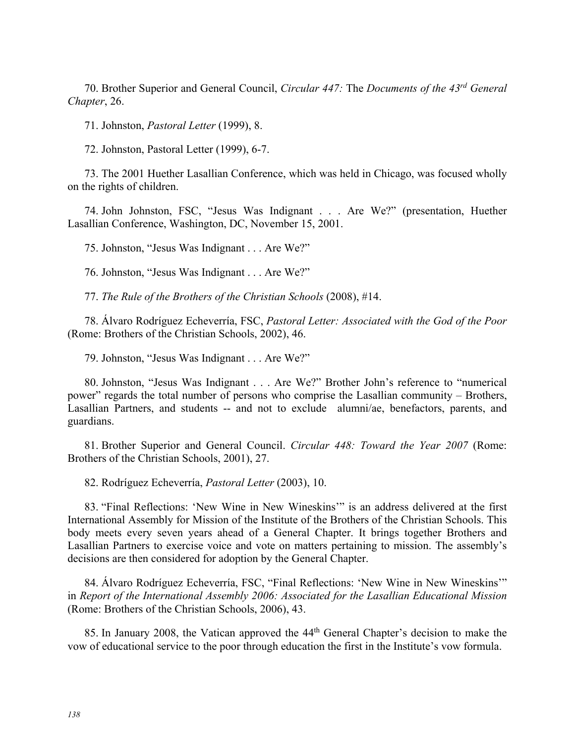70. Brother Superior and General Council, *Circular 447:* The *Documents of the 43rd General Chapter*, 26.

71. Johnston, *Pastoral Letter* (1999), 8.

72. Johnston, Pastoral Letter (1999), 6-7.

73. The 2001 Huether Lasallian Conference, which was held in Chicago, was focused wholly on the rights of children.

74. John Johnston, FSC, "Jesus Was Indignant . . . Are We?" (presentation, Huether Lasallian Conference, Washington, DC, November 15, 2001.

75. Johnston, "Jesus Was Indignant . . . Are We?"

76. Johnston, "Jesus Was Indignant . . . Are We?"

77. *The Rule of the Brothers of the Christian Schools* (2008), #14.

78. Álvaro Rodríguez Echeverría, FSC, *Pastoral Letter: Associated with the God of the Poor* (Rome: Brothers of the Christian Schools, 2002), 46.

79. Johnston, "Jesus Was Indignant . . . Are We?"

80. Johnston, "Jesus Was Indignant . . . Are We?" Brother John's reference to "numerical power" regards the total number of persons who comprise the Lasallian community – Brothers, Lasallian Partners, and students -- and not to exclude alumni/ae, benefactors, parents, and guardians.

81. Brother Superior and General Council. *Circular 448: Toward the Year 2007* (Rome: Brothers of the Christian Schools, 2001), 27.

82. Rodríguez Echeverría, *Pastoral Letter* (2003), 10.

83. "Final Reflections: 'New Wine in New Wineskins'" is an address delivered at the first International Assembly for Mission of the Institute of the Brothers of the Christian Schools. This body meets every seven years ahead of a General Chapter. It brings together Brothers and Lasallian Partners to exercise voice and vote on matters pertaining to mission. The assembly's decisions are then considered for adoption by the General Chapter.

84. Álvaro Rodríguez Echeverría, FSC, "Final Reflections: 'New Wine in New Wineskins'" in *Report of the International Assembly 2006: Associated for the Lasallian Educational Mission* (Rome: Brothers of the Christian Schools, 2006), 43.

85. In January 2008, the Vatican approved the 44<sup>th</sup> General Chapter's decision to make the vow of educational service to the poor through education the first in the Institute's vow formula.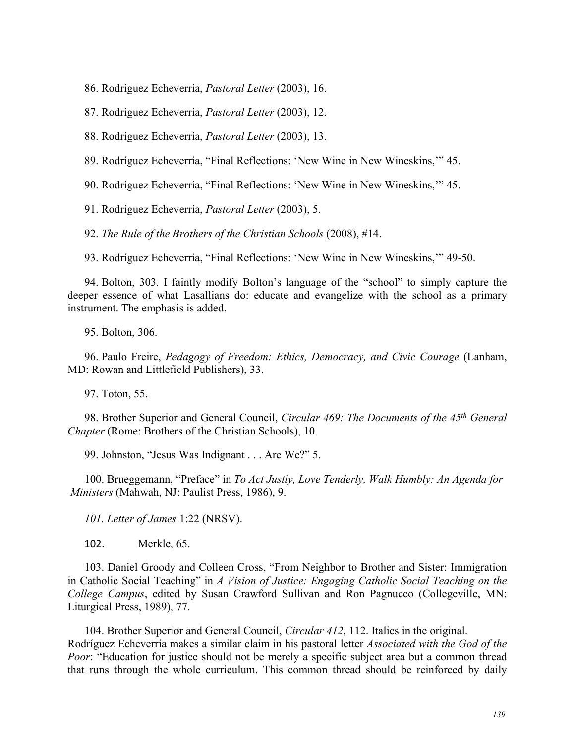86. Rodríguez Echeverría, *Pastoral Letter* (2003), 16.

87. Rodríguez Echeverría, *Pastoral Letter* (2003), 12.

88. Rodríguez Echeverría, *Pastoral Letter* (2003), 13.

89. Rodríguez Echeverría, "Final Reflections: 'New Wine in New Wineskins,'" 45.

90. Rodríguez Echeverría, "Final Reflections: 'New Wine in New Wineskins,'" 45.

91. Rodríguez Echeverría, *Pastoral Letter* (2003), 5.

92. *The Rule of the Brothers of the Christian Schools* (2008), #14.

93. Rodríguez Echeverría, "Final Reflections: 'New Wine in New Wineskins,'" 49-50.

94. Bolton, 303. I faintly modify Bolton's language of the "school" to simply capture the deeper essence of what Lasallians do: educate and evangelize with the school as a primary instrument. The emphasis is added.

95. Bolton, 306.

96. Paulo Freire, *Pedagogy of Freedom: Ethics, Democracy, and Civic Courage* (Lanham, MD: Rowan and Littlefield Publishers), 33.

97. Toton, 55.

98. Brother Superior and General Council, *Circular 469: The Documents of the 45th General Chapter* (Rome: Brothers of the Christian Schools), 10.

99. Johnston, "Jesus Was Indignant . . . Are We?" 5.

100. Brueggemann, "Preface" in *To Act Justly, Love Tenderly, Walk Humbly: An Agenda for Ministers* (Mahwah, NJ: Paulist Press, 1986), 9.

*101. Letter of James* 1:22 (NRSV).

102. Merkle, 65.

103. Daniel Groody and Colleen Cross, "From Neighbor to Brother and Sister: Immigration in Catholic Social Teaching" in *A Vision of Justice: Engaging Catholic Social Teaching on the College Campus*, edited by Susan Crawford Sullivan and Ron Pagnucco (Collegeville, MN: Liturgical Press, 1989), 77.

104. Brother Superior and General Council, *Circular 412*, 112. Italics in the original. Rodríguez Echeverría makes a similar claim in his pastoral letter *Associated with the God of the Poor*: "Education for justice should not be merely a specific subject area but a common thread that runs through the whole curriculum. This common thread should be reinforced by daily